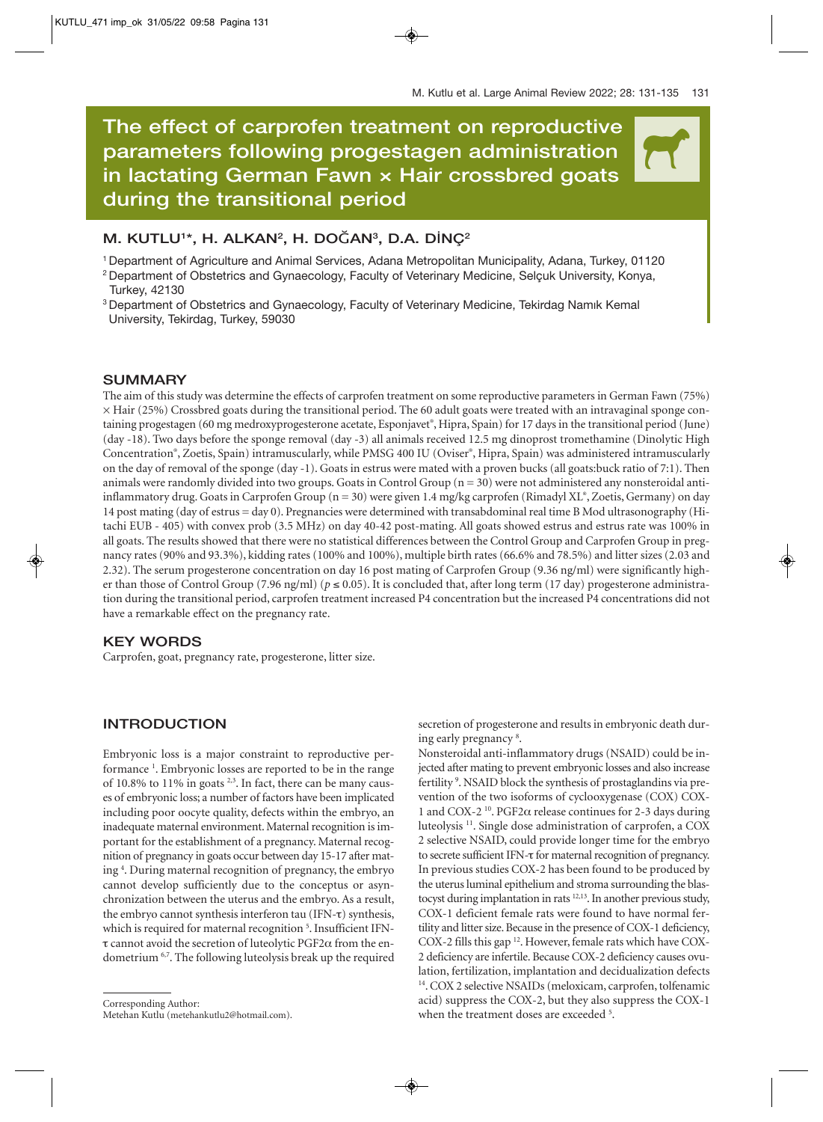$\overline{\mathcal{H}}$ 

# **The effect of carprofen treatment on reproductive parameters following progestagen administration in lactating German Fawn × Hair crossbred goats during the transitional period**

## **M. KUTLU1 \*, H. ALKAN2 , H. DO**Ğ**AN3 , D.A. D**İ**NÇ2**

1 Department of Agriculture and Animal Services, Adana Metropolitan Municipality, Adana, Turkey, 01120

- 2 Department of Obstetrics and Gynaecology, Faculty of Veterinary Medicine, Selçuk University, Konya, Turkey, 42130
- <sup>3</sup> Department of Obstetrics and Gynaecology, Faculty of Veterinary Medicine, Tekirdag Namık Kemal University, Tekirdag, Turkey, 59030

## **SUMMARY**

The aim of this study was determine the effects of carprofen treatment on some reproductive parameters in German Fawn (75%)  $\times$  Hair (25%) Crossbred goats during the transitional period. The 60 adult goats were treated with an intravaginal sponge containing progestagen (60 mg medroxyprogesterone acetate, Esponjavet® , Hipra, Spain) for 17 days in the transitional period (June) (day -18). Two days before the sponge removal (day -3) all animals received 12.5 mg dinoprost tromethamine (Dinolytic High Concentration® , Zoetis, Spain) intramuscularly, while PMSG 400 IU (Oviser® , Hipra, Spain) was administered intramuscularly on the day of removal of the sponge (day -1). Goats in estrus were mated with a proven bucks (all goats:buck ratio of 7:1). Then animals were randomly divided into two groups. Goats in Control Group  $(n = 30)$  were not administered any nonsteroidal antiinflammatory drug. Goats in Carprofen Group (n = 30) were given 1.4 mg/kg carprofen (Rimadyl XL® , Zoetis, Germany) on day 14 post mating (day of estrus = day 0). Pregnancies were determined with transabdominal real time B Mod ultrasonography (Hitachi EUB - 405) with convex prob (3.5 MHz) on day 40-42 post-mating. All goats showed estrus and estrus rate was 100% in all goats. The results showed that there were no statistical differences between the Control Group and Carprofen Group in pregnancy rates (90% and 93.3%), kidding rates (100% and 100%), multiple birth rates (66.6% and 78.5%) and litter sizes (2.03 and 2.32). The serum progesterone concentration on day 16 post mating of Carprofen Group (9.36 ng/ml) were significantly higher than those of Control Group (7.96 ng/ml) ( $p \le 0.05$ ). It is concluded that, after long term (17 day) progesterone administration during the transitional period, carprofen treatment increased P4 concentration but the increased P4 concentrations did not have a remarkable effect on the pregnancy rate.

## **KEY WORDS**

Carprofen, goat, pregnancy rate, progesterone, litter size.

## **INTRODUCTION**

Embryonic loss is a major constraint to reproductive performance<sup>1</sup>. Embryonic losses are reported to be in the range of 10.8% to 11% in goats<sup>2,3</sup>. In fact, there can be many causes of embryonic loss; a number of factors have been implicated including poor oocyte quality, defects within the embryo, an inadequate maternal environment. Maternal recognition is important for the establishment of a pregnancy. Maternal recognition of pregnancy in goats occur between day 15-17 after mating 4 . During maternal recognition of pregnancy, the embryo cannot develop sufficiently due to the conceptus or asynchronization between the uterus and the embryo. As a result, the embryo cannot synthesis interferon tau (IFN-τ) synthesis, which is required for maternal recognition<sup>5</sup>. Insufficient IFNτ cannot avoid the secretion of luteolytic PGF2α from the endometrium <sup>6,7</sup>. The following luteolysis break up the required secretion of progesterone and results in embryonic death during early pregnancy<sup>8</sup>.

Nonsteroidal anti-inflammatory drugs (NSAID) could be injected after mating to prevent embryonic losses and also increase fertility<sup>9</sup>. NSAID block the synthesis of prostaglandins via prevention of the two isoforms of cyclooxygenase (COX) COX-1 and COX-2 <sup>10</sup>. PGF2 $\alpha$  release continues for 2-3 days during luteolysis 11. Single dose administration of carprofen, a COX 2 selective NSAID, could provide longer time for the embryo to secrete sufficient IFN-τ for maternal recognition of pregnancy. In previous studies COX-2 has been found to be produced by the uterus luminal epithelium and stroma surrounding the blastocyst during implantation in rats <sup>12,13</sup>. In another previous study, COX-1 deficient female rats were found to have normal fertility and litter size. Because in the presence of COX-1 deficiency, COX-2 fills this gap 12. However, female rats which have COX-2 deficiency are infertile. Because COX-2 deficiency causes ovulation, fertilization, implantation and decidualization defects <sup>14</sup>. COX 2 selective NSAIDs (meloxicam, carprofen, tolfenamic acid) suppress the COX-2, but they also suppress the COX-1 when the treatment doses are exceeded <sup>5</sup>.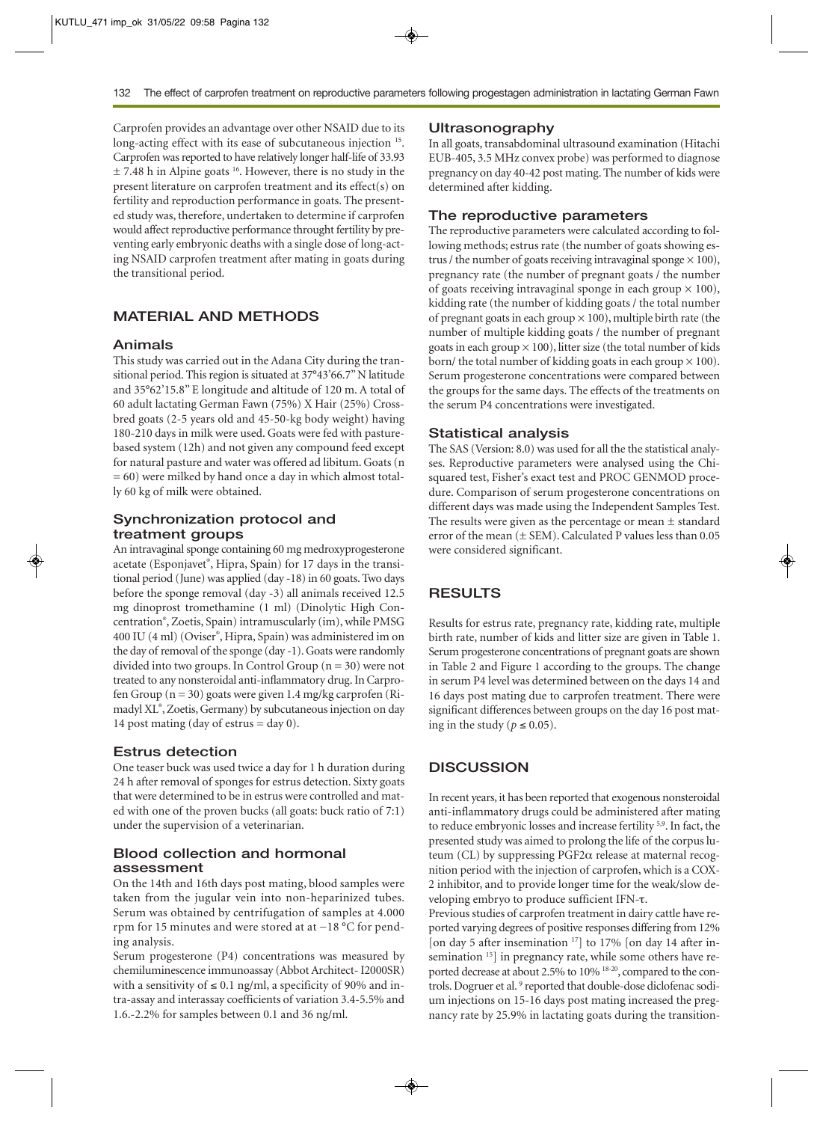Carprofen provides an advantage over other NSAID due to its long-acting effect with its ease of subcutaneous injection <sup>15</sup>. Carprofen was reported to have relatively longer half-life of 33.93  $\pm$  7.48 h in Alpine goats <sup>16</sup>. However, there is no study in the present literature on carprofen treatment and its effect(s) on fertility and reproduction performance in goats. The presented study was, therefore, undertaken to determine if carprofen would affect reproductive performance throught fertility by preventing early embryonic deaths with a single dose of long-acting NSAID carprofen treatment after mating in goats during the transitional period.

## **MATERIAL AND METHODS**

#### **Animals**

This study was carried out in the Adana City during the transitional period. This region is situated at 37°43'66.7" N latitude and 35°62'15.8" E longitude and altitude of 120 m. A total of 60 adult lactating German Fawn (75%) X Hair (25%) Crossbred goats (2-5 years old and 45-50-kg body weight) having 180-210 days in milk were used. Goats were fed with pasturebased system (12h) and not given any compound feed except for natural pasture and water was offered ad libitum. Goats (n = 60) were milked by hand once a day in which almost totally 60 kg of milk were obtained.

## **Synchronization protocol and treatment groups**

An intravaginal sponge containing 60 mg medroxyprogesterone acetate (Esponjavet® , Hipra, Spain) for 17 days in the transitional period (June) was applied (day -18) in 60 goats. Two days before the sponge removal (day -3) all animals received 12.5 mg dinoprost tromethamine (1 ml) (Dinolytic High Concentration® , Zoetis, Spain) intramuscularly (im), while PMSG 400 IU (4 ml) (Oviser® , Hipra, Spain) was administered im on the day of removal of the sponge (day -1). Goats were randomly divided into two groups. In Control Group  $(n = 30)$  were not treated to any nonsteroidal anti-inflammatory drug. In Carprofen Group  $(n = 30)$  goats were given 1.4 mg/kg carprofen (Rimadyl XL® , Zoetis, Germany) by subcutaneous injection on day 14 post mating (day of estrus  $=$  day 0).

#### **Estrus detection**

One teaser buck was used twice a day for 1 h duration during 24 h after removal of sponges for estrus detection. Sixty goats that were determined to be in estrus were controlled and mated with one of the proven bucks (all goats: buck ratio of 7:1) under the supervision of a veterinarian.

## **Blood collection and hormonal assessment**

On the 14th and 16th days post mating, blood samples were taken from the jugular vein into non-heparinized tubes. Serum was obtained by centrifugation of samples at 4.000 rpm for 15 minutes and were stored at at −18 °C for pending analysis.

Serum progesterone (P4) concentrations was measured by chemiluminescence immunoassay (Abbot Architect- I2000SR) with a sensitivity of  $\leq 0.1$  ng/ml, a specificity of 90% and intra-assay and interassay coefficients of variation 3.4-5.5% and 1.6.-2.2% for samples between 0.1 and 36 ng/ml.

#### **Ultrasonography**

In all goats, transabdominal ultrasound examination (Hitachi EUB-405, 3.5 MHz convex probe) was performed to diagnose pregnancy on day 40-42 post mating. The number of kids were determined after kidding.

## **The reproductive parameters**

The reproductive parameters were calculated according to following methods; estrus rate (the number of goats showing estrus / the number of goats receiving intravaginal sponge  $\times$  100), pregnancy rate (the number of pregnant goats / the number of goats receiving intravaginal sponge in each group  $\times$  100), kidding rate (the number of kidding goats / the total number of pregnant goats in each group  $\times$  100), multiple birth rate (the number of multiple kidding goats / the number of pregnant goats in each group  $\times$  100), litter size (the total number of kids born/ the total number of kidding goats in each group  $\times$  100). Serum progesterone concentrations were compared between the groups for the same days. The effects of the treatments on the serum P4 concentrations were investigated.

#### **Statistical analysis**

The SAS (Version: 8.0) was used for all the the statistical analyses. Reproductive parameters were analysed using the Chisquared test, Fisher's exact test and PROC GENMOD procedure. Comparison of serum progesterone concentrations on different days was made using the Independent Samples Test. The results were given as the percentage or mean  $\pm$  standard error of the mean  $(\pm$  SEM). Calculated P values less than 0.05 were considered significant.

## **RESULTS**

Results for estrus rate, pregnancy rate, kidding rate, multiple birth rate, number of kids and litter size are given in Table 1. Serum progesterone concentrations of pregnant goats are shown in Table 2 and Figure 1 according to the groups. The change in serum P4 level was determined between on the days 14 and 16 days post mating due to carprofen treatment. There were significant differences between groups on the day 16 post mating in the study ( $p \le 0.05$ ).

### **DISCUSSION**

In recent years, it has been reported that exogenous nonsteroidal anti-inflammatory drugs could be administered after mating to reduce embryonic losses and increase fertility 5,9. In fact, the presented study was aimed to prolong the life of the corpus luteum (CL) by suppressing PGF2α release at maternal recognition period with the injection of carprofen, which is a COX-2 inhibitor, and to provide longer time for the weak/slow developing embryo to produce sufficient IFN-τ.

Previous studies of carprofen treatment in dairy cattle have reported varying degrees of positive responses differing from 12% [on day 5 after insemination<sup>17</sup>] to 17% [on day 14 after insemination <sup>15</sup>] in pregnancy rate, while some others have reported decrease at about 2.5% to 10% 18-20, compared to the controls. Dogruer et al.<sup>9</sup> reported that double-dose diclofenac sodium injections on 15-16 days post mating increased the pregnancy rate by 25.9% in lactating goats during the transition-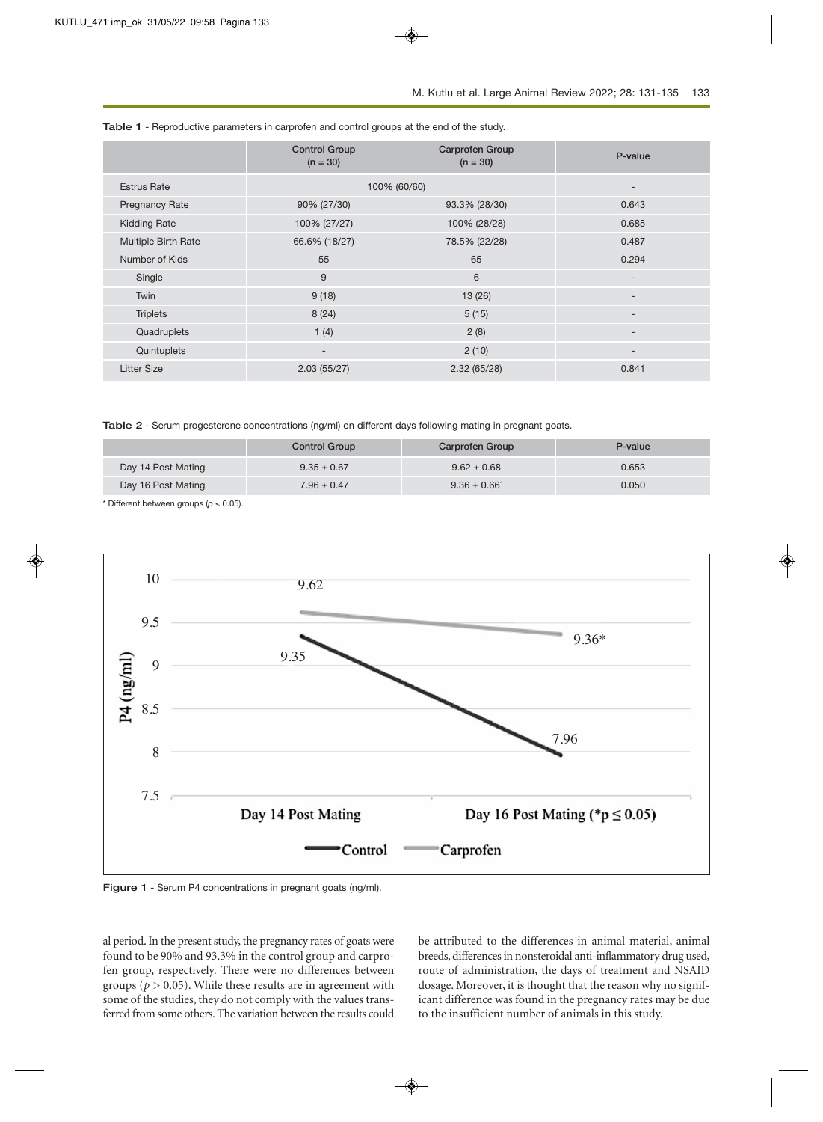|                            | <b>Control Group</b><br>$(n = 30)$ | <b>Carprofen Group</b><br>$(n = 30)$ | P-value                  |
|----------------------------|------------------------------------|--------------------------------------|--------------------------|
| <b>Estrus Rate</b>         | 100% (60/60)                       |                                      | -                        |
| <b>Pregnancy Rate</b>      | 90% (27/30)                        | 93.3% (28/30)                        | 0.643                    |
| <b>Kidding Rate</b>        | 100% (27/27)                       | 100% (28/28)                         | 0.685                    |
| <b>Multiple Birth Rate</b> | 66.6% (18/27)                      | 78.5% (22/28)                        | 0.487                    |
| Number of Kids             | 55                                 | 65                                   | 0.294                    |
| Single                     | 9                                  | 6                                    | $\overline{\phantom{a}}$ |
| Twin                       | 9(18)                              | 13(26)                               | ۰                        |
| <b>Triplets</b>            | 8(24)                              | 5(15)                                | $\overline{\phantom{a}}$ |
| Quadruplets                | 1(4)                               | 2(8)                                 | ۰                        |
| Quintuplets                | $\overline{\phantom{a}}$           | 2(10)                                | -                        |
| <b>Litter Size</b>         | 2.03(55/27)                        | 2.32(65/28)                          | 0.841                    |

**Table 1** - Reproductive parameters in carprofen and control groups at the end of the study.

**Table 2** - Serum progesterone concentrations (ng/ml) on different days following mating in pregnant goats.

|                    | <b>Control Group</b> | Carprofen Group | P-value |
|--------------------|----------------------|-----------------|---------|
| Day 14 Post Mating | $9.35 \pm 0.67$      | $9.62 \pm 0.68$ | 0.653   |
| Day 16 Post Mating | $7.96 \pm 0.47$      | $9.36 \pm 0.66$ | 0.050   |

\* Different between groups (*p* ≤ 0.05).



**Figure 1** - Serum P4 concentrations in pregnant goats (ng/ml).

al period. In the present study, the pregnancy rates of goats were found to be 90% and 93.3% in the control group and carprofen group, respectively. There were no differences between groups ( $p > 0.05$ ). While these results are in agreement with some of the studies, they do not comply with the values transferred from some others. The variation between the results could be attributed to the differences in animal material, animal breeds, differences in nonsteroidal anti-inflammatory drug used, route of administration, the days of treatment and NSAID dosage. Moreover, it is thought that the reason why no significant difference was found in the pregnancy rates may be due to the insufficient number of animals in this study.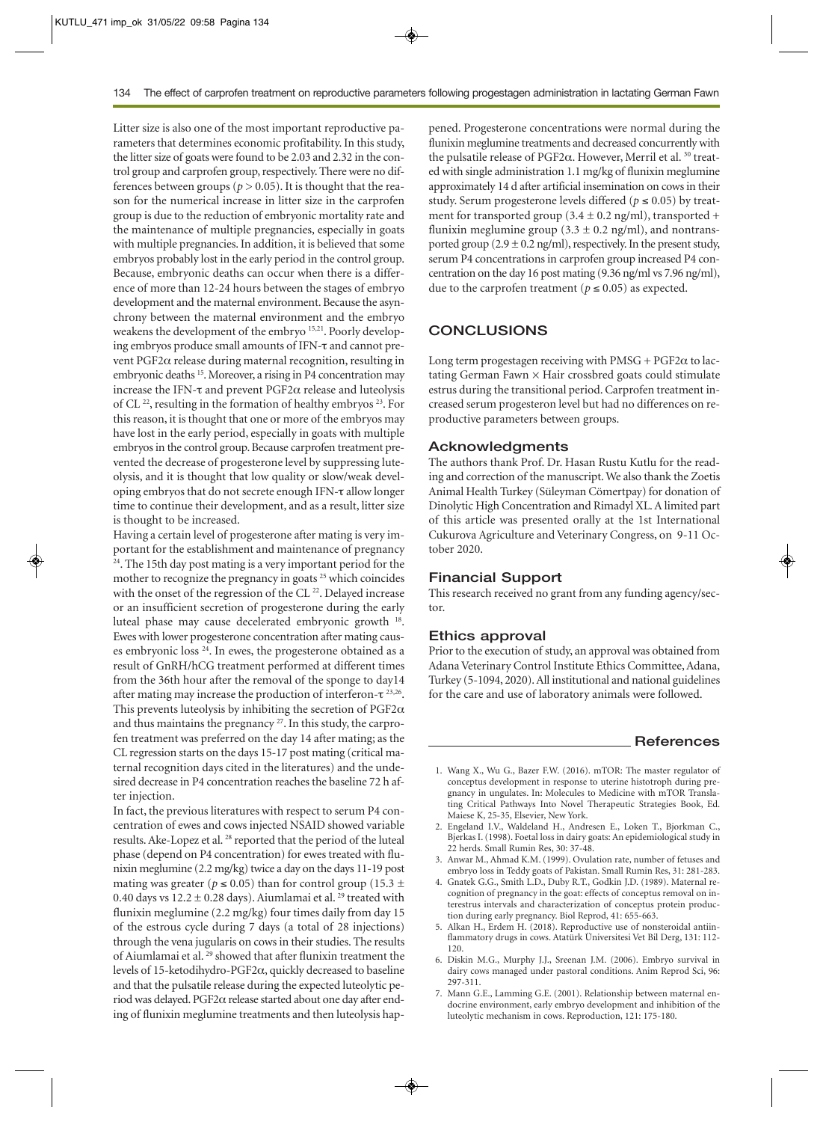Litter size is also one of the most important reproductive parameters that determines economic profitability. In this study, the litter size of goats were found to be 2.03 and 2.32 in the control group and carprofen group, respectively. There were no differences between groups ( $p > 0.05$ ). It is thought that the reason for the numerical increase in litter size in the carprofen group is due to the reduction of embryonic mortality rate and the maintenance of multiple pregnancies, especially in goats with multiple pregnancies. In addition, it is believed that some embryos probably lost in the early period in the control group. Because, embryonic deaths can occur when there is a difference of more than 12-24 hours between the stages of embryo development and the maternal environment. Because the asynchrony between the maternal environment and the embryo weakens the development of the embryo 15,21. Poorly developing embryos produce small amounts of IFN-τ and cannot prevent PGF2α release during maternal recognition, resulting in embryonic deaths <sup>15</sup>. Moreover, a rising in P4 concentration may increase the IFN-τ and prevent PGF2α release and luteolysis of CL  $^{22}$ , resulting in the formation of healthy embryos  $^{23}$ . For this reason, it is thought that one or more of the embryos may have lost in the early period, especially in goats with multiple embryos in the control group. Because carprofen treatment prevented the decrease of progesterone level by suppressing luteolysis, and it is thought that low quality or slow/weak developing embryos that do not secrete enough IFN-τ allow longer time to continue their development, and as a result, litter size is thought to be increased.

Having a certain level of progesterone after mating is very important for the establishment and maintenance of pregnancy <sup>24</sup>. The 15th day post mating is a very important period for the mother to recognize the pregnancy in goats <sup>25</sup> which coincides with the onset of the regression of the CL<sup>22</sup>. Delayed increase or an insufficient secretion of progesterone during the early luteal phase may cause decelerated embryonic growth 18. Ewes with lower progesterone concentration after mating causes embryonic loss 24. In ewes, the progesterone obtained as a result of GnRH/hCG treatment performed at different times from the 36th hour after the removal of the sponge to day14 after mating may increase the production of interferon-τ 23,26. This prevents luteolysis by inhibiting the secretion of  $PGF2\alpha$ and thus maintains the pregnancy <sup>27</sup>. In this study, the carprofen treatment was preferred on the day 14 after mating; as the CL regression starts on the days 15-17 post mating (critical maternal recognition days cited in the literatures) and the undesired decrease in P4 concentration reaches the baseline 72 h after injection.

In fact, the previous literatures with respect to serum P4 concentration of ewes and cows injected NSAID showed variable results. Ake-Lopez et al. 28 reported that the period of the luteal phase (depend on P4 concentration) for ewes treated with flunixin meglumine (2.2 mg/kg) twice a day on the days 11-19 post mating was greater ( $p \le 0.05$ ) than for control group (15.3  $\pm$ 0.40 days vs  $12.2 \pm 0.28$  days). Aiumlamai et al. <sup>29</sup> treated with flunixin meglumine (2.2 mg/kg) four times daily from day 15 of the estrous cycle during 7 days (a total of 28 injections) through the vena jugularis on cows in their studies. The results of Aiumlamai et al.<sup>29</sup> showed that after flunixin treatment the levels of 15-ketodihydro-PGF2α, quickly decreased to baseline and that the pulsatile release during the expected luteolytic period was delayed. PGF2α release started about one day after ending of flunixin meglumine treatments and then luteolysis happened. Progesterone concentrations were normal during the flunixin meglumine treatments and decreased concurrently with the pulsatile release of PGF2α. However, Merril et al. <sup>30</sup> treated with single administration 1.1 mg/kg of flunixin meglumine approximately 14 d after artificial insemination on cows in their study. Serum progesterone levels differed ( $p \le 0.05$ ) by treatment for transported group (3.4  $\pm$  0.2 ng/ml), transported + flunixin meglumine group (3.3  $\pm$  0.2 ng/ml), and nontransported group  $(2.9 \pm 0.2 \text{ ng/ml})$ , respectively. In the present study, serum P4 concentrations in carprofen group increased P4 concentration on the day 16 post mating (9.36 ng/ml vs 7.96 ng/ml), due to the carprofen treatment ( $p \le 0.05$ ) as expected.

## **CONCLUSIONS**

Long term progestagen receiving with  $PMSG + PGF2\alpha$  to lactating German Fawn × Hair crossbred goats could stimulate estrus during the transitional period. Carprofen treatment increased serum progesteron level but had no differences on reproductive parameters between groups.

#### **Acknowledgments**

The authors thank Prof. Dr. Hasan Rustu Kutlu for the reading and correction of the manuscript. We also thank the Zoetis Animal Health Turkey (Süleyman Cömertpay) for donation of Dinolytic High Concentration and Rimadyl XL. A limited part of this article was presented orally at the 1st International Cukurova Agriculture and Veterinary Congress, on 9-11 October 2020.

#### **Financial Support**

This research received no grant from any funding agency/sector.

#### **Ethics approval**

Prior to the execution of study, an approval was obtained from Adana Veterinary Control Institute Ethics Committee, Adana, Turkey (5-1094, 2020). All institutional and national guidelines for the care and use of laboratory animals were followed.

#### **References**

- 1. Wang X., Wu G., Bazer F.W. (2016). mTOR: The master regulator of conceptus development in response to uterine histotroph during pregnancy in ungulates. In: Molecules to Medicine with mTOR Translating Critical Pathways Into Novel Therapeutic Strategies Book, Ed. Maiese K, 25-35, Elsevier, New York.
- 2. Engeland I.V., Waldeland H., Andresen E., Loken T., Bjorkman C., Bjerkas I. (1998). Foetal loss in dairy goats: An epidemiological study in 22 herds. Small Rumin Res, 30: 37-48.
- 3. Anwar M., Ahmad K.M. (1999). Ovulation rate, number of fetuses and embryo loss in Teddy goats of Pakistan. Small Rumin Res, 31: 281-283.
- 4. Gnatek G.G., Smith L.D., Duby R.T., Godkin J.D. (1989). Maternal recognition of pregnancy in the goat: effects of conceptus removal on interestrus intervals and characterization of conceptus protein production during early pregnancy. Biol Reprod, 41: 655-663.
- 5. Alkan H., Erdem H. (2018). Reproductive use of nonsteroidal antiinflammatory drugs in cows. Atatürk Üniversitesi Vet Bil Derg, 131: 112- 120.
- 6. Diskin M.G., Murphy J.J., Sreenan J.M. (2006). Embryo survival in dairy cows managed under pastoral conditions. Anim Reprod Sci, 96: 297-311.
- 7. Mann G.E., Lamming G.E. (2001). Relationship between maternal endocrine environment, early embryo development and inhibition of the luteolytic mechanism in cows. Reproduction, 121: 175-180.